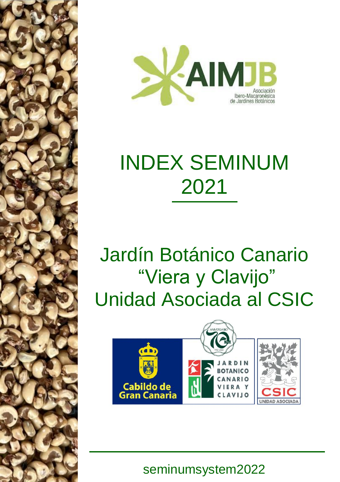

# INDEX SEMINUM 2021

# Jardín Botánico Canario "Viera y Clavijo" Unidad Asociada al CSIC



seminumsystem2022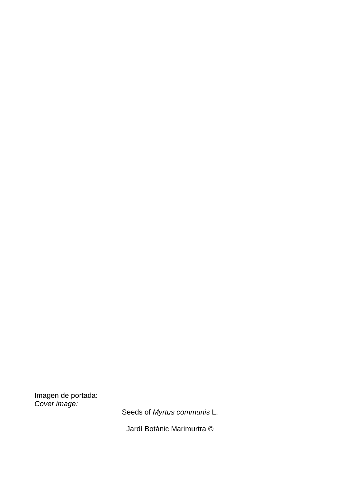Imagen de portada: *Cover image:*

Seeds of *Myrtus communis* L.

Jardí Botànic Marimurtra ©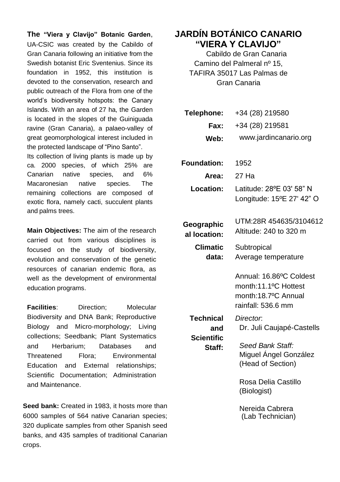**The "Viera y Clavijo" Botanic Garden**, UA-CSIC was created by the Cabildo of Gran Canaria following an initiative from the Swedish botanist Eric Sventenius. Since its foundation in 1952, this institution is devoted to the conservation, research and public outreach of the Flora from one of the world's biodiversity hotspots: the Canary Islands. With an area of 27 ha, the Garden is located in the slopes of the Guiniguada ravine (Gran Canaria), a palaeo-valley of great geomorphological interest included in the protected landscape of "Pino Santo".

Its collection of living plants is made up by ca. 2000 species, of which 25% are Canarian native species, and 6% Macaronesian native species. The remaining collections are composed of exotic flora, namely cacti, succulent plants and palms trees.

**Main Objectives:** The aim of the research carried out from various disciplines is focused on the study of biodiversity, evolution and conservation of the genetic resources of canarian endemic flora, as well as the development of environmental education programs.

**Facilities**: Direction; Molecular Biodiversity and DNA Bank; Reproductive Biology and Micro-morphology; Living collections; Seedbank; Plant Systematics and Herbarium; Databases and Threatened Flora; Environmental Education and External relationships; Scientific Documentation; Administration and Maintenance.

**Seed bank:** Created in 1983, it hosts more than 6000 samples of 564 native Canarian species; 320 duplicate samples from other Spanish seed banks, and 435 samples of traditional Canarian crops.

# **JARDÍN BOTÁNICO CANARIO "VIERA Y CLAVIJO"**

Cabildo de Gran Canaria Camino del Palmeral nº 15, TAFIRA 35017 Las Palmas de Gran Canaria

| Telephone:                                      | +34 (28) 219580                                                                              |
|-------------------------------------------------|----------------------------------------------------------------------------------------------|
| Fax:                                            | +34 (28) 219581                                                                              |
| Web:                                            | www.jardincanario.org                                                                        |
|                                                 |                                                                                              |
| Foundation:                                     | 1952                                                                                         |
| Area:                                           | 27 Ha                                                                                        |
| Location:                                       | Latitude: 28°E 03' 58" N<br>Longitude: 15°E 27' 42" O                                        |
| Geographic<br>al location:                      | UTM:28R 454635/3104612<br>Altitude: 240 to 320 m                                             |
| <b>Climatic</b><br>data:                        | Subtropical<br>Average temperature                                                           |
| Technical<br>and<br><b>Scientific</b><br>Staff: | Annual: 16.86°C Coldest<br>month:11.1°C Hottest<br>month:18.7ºC Annual<br>rainfall: 536.6 mm |
|                                                 | Director.<br>Dr. Juli Caujapé-Castells                                                       |
|                                                 | Seed Bank Staff:<br>Miguel Ángel González<br>(Head of Section)                               |
|                                                 | Rosa Delia Castillo<br>(Biologist)                                                           |
|                                                 | Nereida Cabrera<br>(Lab Technician)                                                          |
|                                                 |                                                                                              |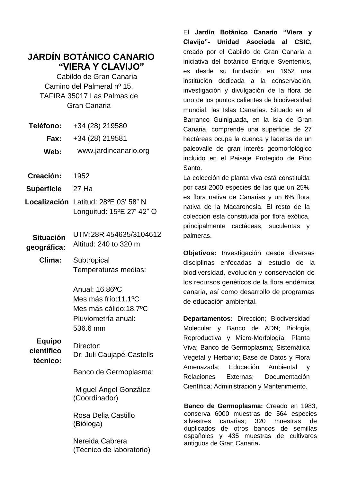# **JARDÍN BOTÁNICO CANARIO "VIERA Y CLAVIJO"**

Cabildo de Gran Canaria Camino del Palmeral nº 15, TAFIRA 35017 Las Palmas de Gran Canaria

| <b>Teléfono:</b> | +34 (28) 219580       |
|------------------|-----------------------|
| Fax:             | +34 (28) 219581       |
| Web:             | www.jardincanario.org |

- **Creación:** 1952
- **Superficie** 27 Ha
- **Localización** Latitud: 28ºE 03' 58" N Longuitud: 15ºE 27' 42" O

**Situación geográfica:** UTM:28R 454635/3104612 Altitud: 240 to 320 m

**Clima:** Subtropical Temperaturas medias:

> Anual: 16.86ºC Mes más frío:11.1ºC Mes más cálido:18.7ºC Pluviometría anual: 536.6 mm

**Equipo científico** 

**técnico:** Dr. Juli Caujapé-Castells

Director:

Banco de Germoplasma:

Miguel Ángel González (Coordinador)

Rosa Delia Castillo (Bióloga)

Nereida Cabrera (Técnico de laboratorio) El **Jardín Botánico Canario "Viera y Clavijo"- Unidad Asociada al CSIC,**  creado por el Cabildo de Gran Canaria a iniciativa del botánico Enrique Sventenius, es desde su fundación en 1952 una institución dedicada a la conservación, investigación y divulgación de la flora de uno de los puntos calientes de biodiversidad mundial: las Islas Canarias. Situado en el Barranco Guiniguada, en la isla de Gran Canaria, comprende una superficie de 27 hectáreas ocupa la cuenca y laderas de un paleovalle de gran interés geomorfológico incluido en el Paisaje Protegido de Pino Santo.

La colección de planta viva está constituida por casi 2000 especies de las que un 25% es flora nativa de Canarias y un 6% flora nativa de la Macaronesia. El resto de la colección está constituida por flora exótica, principalmente cactáceas, suculentas y palmeras.

**Objetivos:** Investigación desde diversas disciplinas enfocadas al estudio de la biodiversidad, evolución y conservación de los recursos genéticos de la flora endémica canaria, así como desarrollo de programas de educación ambiental.

**Departamentos:** Dirección; Biodiversidad Molecular y Banco de ADN; Biología Reproductiva y Micro-Morfología; Planta Viva; Banco de Germoplasma; Sistemática Vegetal y Herbario; Base de Datos y Flora Amenazada; Educación Ambiental y Relaciones Externas; Documentación Científica; Administración y Mantenimiento.

**Banco de Germoplasma:** Creado en 1983, conserva 6000 muestras de 564 especies silvestres canarias; 320 muestras de duplicados de otros bancos de semillas españoles y 435 muestras de cultivares antiguos de Gran Canaria**.**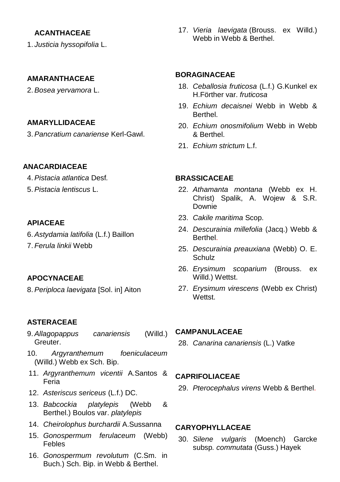### **ACANTHACEAE**

1. *Justicia hyssopifolia* L.

#### **AMARANTHACEAE**

2.*Bosea yervamora* L.

#### **AMARYLLIDACEAE**

3.*Pancratium canariense* Kerl-Gawl.

#### **ANACARDIACEAE**

- 4.*Pistacia atlantica* Desf*.*
- 5.*Pistacia lentiscus* L.

#### **APIACEAE**

- 6.*Astydamia latifolia* (L.f.) Baillon
- 7. *Ferula linkii* Webb

#### **APOCYNACEAE**

8.*Periploca laevigata* [Sol. in] Aiton

#### **ASTERACEAE**

- 9.*Allagopappus canariensis* (Willd.) Greuter.
- 10. *Argyranthemum foeniculaceum*  (Willd.) Webb ex Sch. Bip.
- 11. *Argyranthemum vicentii* A.Santos & Feria
- 12. *Asteriscus sericeus* (L.f.) DC.
- 13. *Babcockia platylepis* (Webb & Berthel.) Boulos var. *platylepis*
- 14. *Cheirolophus burchardii* A.Sussanna
- 15. *Gonospermum ferulaceum* (Webb) Febles
- 16. *Gonospermum revolutum* (C.Sm. in Buch.) Sch. Bip. in Webb & Berthel.

17. *Vieria laevigata* (Brouss. ex Willd.) Webb in Webb & Berthel.

#### **BORAGINACEAE**

- 18. *Ceballosia fruticosa* (L.f.) G.Kunkel ex H.Förther var. *fruticosa*
- 19. *Echium decaisnei* Webb in Webb & Berthel.
- 20. *Echium onosmifolium* Webb in Webb & Berthel.
- 21. *Echium strictum* L.f.

## **BRASSICACEAE**

- 22. *Athamanta montana* (Webb ex H. Christ) Spalik, A. Wojew & S.R. Downie
- 23. *Cakile maritima* Scop.
- 24. *Descurainia millefolia* (Jacq.) Webb & Berthel.
- 25. *Descurainia preauxiana* (Webb) O. E. Schulz
- 26. *Erysimum scoparium* (Brouss. ex Willd.) Wettst.
- 27. *Erysimum virescens* (Webb ex Christ) Wettst.

#### **CAMPANULACEAE**

28. *Canarina canariensis* (L.) Vatke

#### **CAPRIFOLIACEAE**

29. *Pterocephalus virens* Webb & Berthel.

#### **CARYOPHYLLACEAE**

30. *Silene vulgaris* (Moench) Garcke subsp*. commutata* (Guss.) Hayek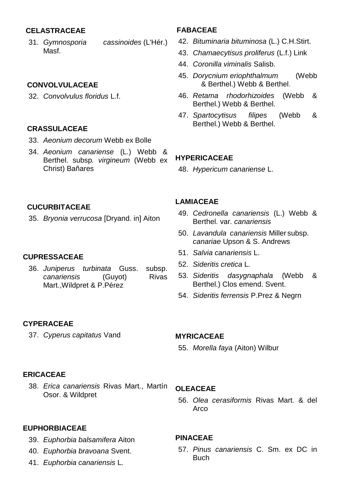#### **CELASTRACEAE**

31. *Gymnosporia cassinoides* (L'Hér.) Masf.

#### **CONVOLVULACEAE**

32. *Convolvulus floridus* L.f.

#### **CRASSULACEAE**

- 33. *Aeonium decorum* Webb ex Bolle
- 34. *Aeonium canariense* (L.) Webb & Berthel. subsp*. virgineum* (Webb ex Christ) Bañares

# **CUCURBITACEAE**

35. *Bryonia verrucosa* [Dryand. in] Aiton

#### **CUPRESSACEAE**

36. *Juniperus turbinata* Guss. subsp. *canariensis* (Guyot) Rivas Mart.,Wildpret & P.Pérez

# **FABACEAE**

- 42. *Bituminaria bituminosa* (L.) C.H.Stirt.
- 43. *Chamaecytisus proliferus* (L.f.) Link
- 44. *Coronilla viminalis* Salisb.
- 45. *Dorycnium eriophthalmum* (Webb & Berthel.) Webb & Berthel.
- 46. *Retama rhodorhizoides* (Webb & Berthel.) Webb & Berthel.
- 47. *Spartocytisus filipes* (Webb & Berthel.) Webb & Berthel.

# **HYPERICACEAE**

48. *Hypericum canariense* L.

## **LAMIACEAE**

- 49. *Cedronella canariensis* (L.) Webb & Berthel. var*. canariensis*
- 50. *Lavandula canariensis* Miller subsp. *canariae* Upson & S. Andrews
- 51. *Salvia canariensis* L.
- 52. *Sideritis cretica* L*.*
- 53. *Sideritis dasygnaphala* (Webb & Berthel.) Clos emend. Svent.
- 54. *Sideritis ferrensis* P.Prez & Negrn

# **CYPERACEAE**

37. *Cyperus capitatus* Vand

#### **MYRICACEAE**

55. *Morella faya* (Aiton) Wilbur

### **ERICACEAE**

38. *Erica canariensis* Rivas Mart., Martín Osor. & Wildpret

#### **EUPHORBIACEAE**

- 39. *Euphorbia balsamifera* Aiton
- 40. *Euphorbia bravoana* Svent.
- 41. *Euphorbia canariensis* L*.*

#### **OLEACEAE**

56. *Olea cerasiformis* Rivas Mart. & del Arco

#### **PINACEAE**

57. *Pinus canariensis* C. Sm. ex DC in **Buch**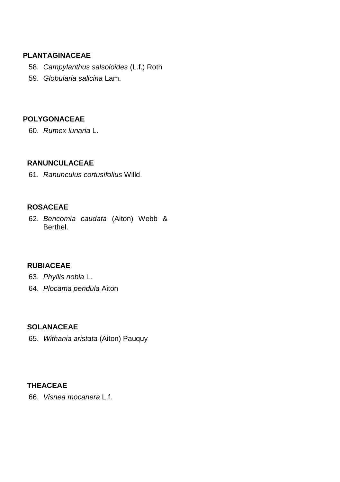### **PLANTAGINACEAE**

- 58. *Campylanthus salsoloides* (L.f.) Roth
- 59. *Globularia salicina* Lam.

# **POLYGONACEAE**

60. *Rumex lunaria* L.

#### **RANUNCULACEAE**

61. *Ranunculus cortusifolius* Willd.

# **ROSACEAE**

62. *Bencomia caudata* (Aiton) Webb & Berthel.

# **RUBIACEAE**

- 63. *Phyllis nobla* L.
- 64. *Plocama pendula* Aiton

#### **SOLANACEAE**

65. *Withania aristata* (Aiton) Pauquy

# **THEACEAE**

66. *Visnea mocanera* L.f.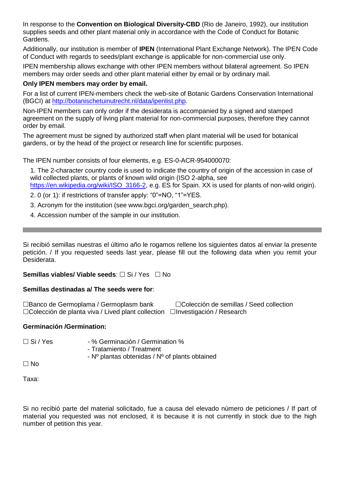In response to the **Convention on Biological Diversity-CBD** (Rio de Janeiro, 1992), our institution supplies seeds and other plant material only in accordance with the Code of Conduct for Botanic Gardens.

Additionally, our institution is member of **IPEN** (International Plant Exchange Network). The IPEN Code of Conduct with regards to seeds/plant exchange is applicable for non-commercial use only.

IPEN membership allows exchange with other IPEN members without bilateral agreement. So IPEN members may order seeds and other plant material either by email or by ordinary mail.

#### **Only IPEN members may order by email.**

For a list of current IPEN-members check the web-site of Botanic Gardens Conservation International (BGCI) a[t http://botanischetuinutrecht.nl/data/ipenlist.php.](http://botanischetuinutrecht.nl/data/ipenlist.php)

Non-IPEN members can only order if the desiderata is accompanied by a signed and stamped agreement on the supply of living plant material for non-commercial purposes, therefore they cannot order by email.

The agreement must be signed by authorized staff when plant material will be used for botanical gardens, or by the head of the project or research line for scientific purposes.

The IPEN number consists of four elements, e.g. ES-0-ACR-954000070:

1. The 2-character country code is used to indicate the country of origin of the accession in case of wild collected plants, or plants of known wild origin (ISO 2-alpha, see

https://en.wikipedia.org/wiki/ISO 3166-2, e.g. ES for Spain. XX is used for plants of non-wild origin).

- 2. 0 (or 1): if restrictions of transfer apply: "0"=NO, "1"=YES.
- 3. Acronym for the institution (see www.bgci.org/garden\_search.php).
- 4. Accession number of the sample in our institution.

Si recibió semillas nuestras el último año le rogamos rellene los siguientes datos al enviar la presente petición. / If you requested seeds last year, please fill out the following data when you remit your Desiderata.

#### **Semillas viables/ Viable seeds:** □ Si / Yes □ No

#### **Semillas destinadas a/ The seeds were for**:

□Banco de Germoplama / Germoplasm bank □ □Colección de semillas / Seed collection  $\Box$ Colección de planta viva / Lived plant collection  $\Box$ Investigación / Research

#### **Germinación /Germination:**

□ Si / Yes - % Germinación / Germination %

- Tratamiento / Treatment

- Nº plantas obtenidas / Nº of plants obtained

 $\Box$  No

Taxa:

Si no recibió parte del material solicitado, fue a causa del elevado número de peticiones / If part of material you requested was not enclosed, it is because it is not currently in stock due to the high number of petition this year.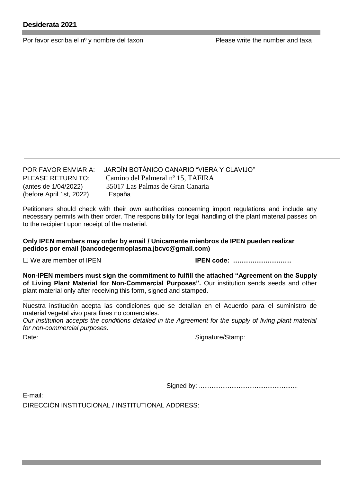Por favor escriba el nº y nombre del taxon Please write the number and taxa

(before April 1st, 2022) España

POR FAVOR ENVIAR A: JARDÍN BOTÁNICO CANARIO "VIERA Y CLAVIJO" PLEASE RETURN TO: Camino del Palmeral nº 15, TAFIRA (antes de 1/04/2022) 35017 Las Palmas de Gran Canaria

Petitioners should check with their own authorities concerning import regulations and include any necessary permits with their order. The responsibility for legal handling of the plant material passes on to the recipient upon receipt of the material.

**Only IPEN members may order by email / Unicamente mienbros de IPEN pueden realizar pedidos por email (bancodegermoplasma.jbcvc@gmail.com)**

We are member of IPEN **IPEN code: ………………………**

**Non-IPEN members must sign the commitment to fulfill the attached "Agreement on the Supply of Living Plant Material for Non-Commercial Purposes".** Our institution sends seeds and other plant material only after receiving this form, signed and stamped.

**\_\_\_\_\_\_\_\_\_\_\_\_\_\_\_\_\_\_\_\_\_\_\_\_\_\_\_\_\_\_\_\_\_\_\_\_\_\_\_\_\_\_\_\_\_\_\_\_\_\_\_\_\_\_\_\_\_\_\_\_\_\_\_\_\_\_\_\_\_\_\_\_\_\_\_\_\_\_\_\_\_** Nuestra institución acepta las condiciones que se detallan en el Acuerdo para el suministro de material vegetal vivo para fines no comerciales.

*Our institution accepts the conditions detailed in the Agreement for the supply of living plant material for non-commercial purposes.*

Date: Signature/Stamp:

Signed by: .......................................................

E-mail: DIRECCIÓN INSTITUCIONAL / INSTITUTIONAL ADDRESS: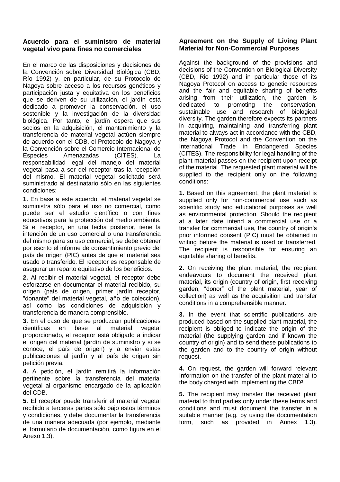#### **Acuerdo para el suministro de material vegetal vivo para fines no comerciales**

En el marco de las disposiciones y decisiones de la Convención sobre Diversidad Biológica (CBD, Río 1992) y, en particular, de su Protocolo de Nagoya sobre acceso a los recursos genéticos y participación justa y equitativa en los beneficios que se deriven de su utilización, el jardín está dedicado a promover la conservación, el uso sostenible y la investigación de la diversidad biológica. Por tanto, el jardín espera que sus socios en la adquisición, el mantenimiento y la transferencia de material vegetal actúen siempre de acuerdo con el CDB, el Protocolo de Nagoya y la Convención sobre el Comercio Internacional de Especies Amenazadas (CITES). La responsabilidad legal del manejo del material vegetal pasa a ser del receptor tras la recepción del mismo. El material vegetal solicitado será suministrado al destinatario sólo en las siguientes condiciones:

**1.** En base a este acuerdo, el material vegetal se suministra sólo para el uso no comercial, como puede ser el estudio científico o con fines educativos para la protección del medio ambiente. Si el receptor, en una fecha posterior, tiene la intención de un uso comercial o una transferencia del mismo para su uso comercial, se debe obtener por escrito el informe de consentimiento previo del país de origen (PIC) antes de que el material sea usado o transferido. El receptor es responsable de asegurar un reparto equitativo de los beneficios.

**2.** Al recibir el material vegetal, el receptor debe esforzarse en documentar el material recibido, su origen (país de origen, primer jardín receptor, "donante" del material vegetal, año de colección), así como las condiciones de adquisición y transferencia de manera comprensible.

**3.** En el caso de que se produzcan publicaciones científicas en base al material vegetal proporcionado, el receptor está obligado a indicar el origen del material (jardín de suministro y si se conoce, el país de origen) y a enviar estas publicaciones al jardín y al país de origen sin petición previa.

**4.** A petición, el jardín remitirá la información pertinente sobre la transferencia del material vegetal al organismo encargado de la aplicación del CDB.

**5.** El receptor puede transferir el material vegetal recibido a terceras partes sólo bajo estos términos y condiciones, y debe documentar la transferencia de una manera adecuada (por ejemplo, mediante el formulario de documentación, como figura en el Anexo 1.3).

#### **Agreement on the Supply of Living Plant Material for Non-Commercial Purposes**

Against the background of the provisions and decisions of the Convention on Biological Diversity (CBD, Rio 1992) and in particular those of its Nagoya Protocol on access to genetic resources and the fair and equitable sharing of benefits arising from their utilization, the garden is<br>dedicated to promoting the conservation. promoting the sustainable use and research of biological diversity. The garden therefore expects its partners in acquiring, maintaining and transferring plant material to always act in accordance with the CBD, the Nagoya Protocol and the Convention on the International Trade in Endangered Species (CITES). The responsibility for legal handling of the plant material passes on the recipient upon receipt of the material. The requested plant material will be supplied to the recipient only on the following conditions:

**1.** Based on this agreement, the plant material is supplied only for non-commercial use such as scientific study and educational purposes as well as environmental protection. Should the recipient at a later date intend a commercial use or a transfer for commercial use, the country of origin's prior informed consent (PIC) must be obtained in writing before the material is used or transferred. The recipient is responsible for ensuring an equitable sharing of benefits.

**2.** On receiving the plant material, the recipient endeavours to document the received plant material, its origin (country of origin, first receiving garden, "donor" of the plant material, year of collection) as well as the acquisition and transfer conditions in a comprehensible manner.

**3.** In the event that scientific publications are produced based on the supplied plant material, the recipient is obliged to indicate the origin of the material (the supplying garden and if known the country of origin) and to send these publications to the garden and to the country of origin without request.

**4.** On request, the garden will forward relevant Information on the transfer of the plant material to the body charged with implementing the CBD³.

**5.** The recipient may transfer the received plant material to third parties only under these terms and conditions and must document the transfer in a suitable manner (e.g. by using the documentation form, such as provided in Annex 1.3).